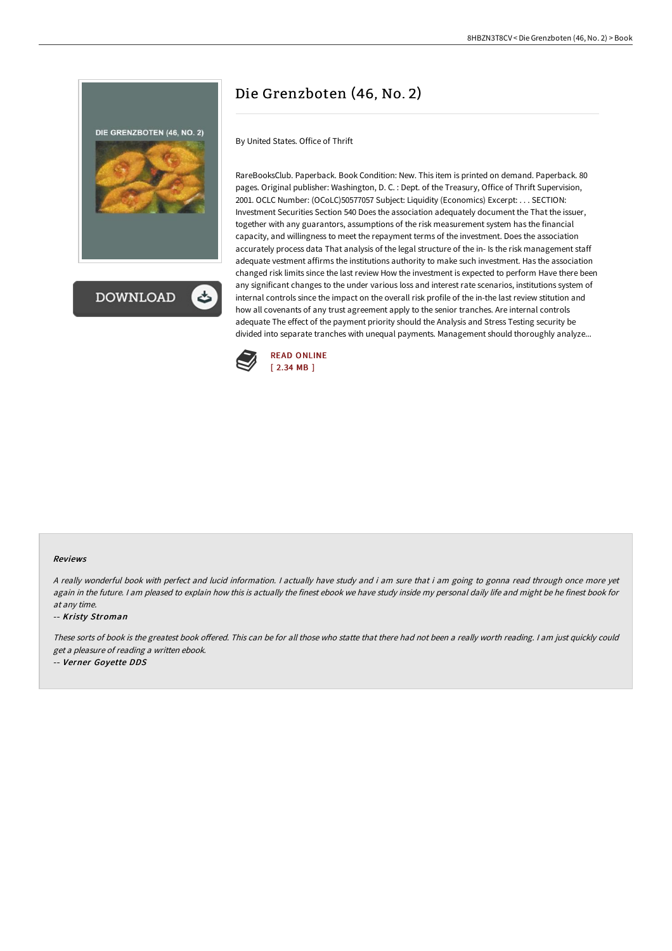



# Die Grenzboten (46, No. 2)

By United States. Office of Thrift

RareBooksClub. Paperback. Book Condition: New. This item is printed on demand. Paperback. 80 pages. Original publisher: Washington, D. C. : Dept. of the Treasury, Office of Thrift Supervision, 2001. OCLC Number: (OCoLC)50577057 Subject: Liquidity (Economics) Excerpt: . . . SECTION: Investment Securities Section 540 Does the association adequately document the That the issuer, together with any guarantors, assumptions of the risk measurement system has the financial capacity, and willingness to meet the repayment terms of the investment. Does the association accurately process data That analysis of the legal structure of the in- Is the risk management staff adequate vestment affirms the institutions authority to make such investment. Has the association changed risk limits since the last review How the investment is expected to perform Have there been any significant changes to the under various loss and interest rate scenarios, institutions system of internal controls since the impact on the overall risk profile of the in-the last review stitution and how all covenants of any trust agreement apply to the senior tranches. Are internal controls adequate The effect of the payment priority should the Analysis and Stress Testing security be divided into separate tranches with unequal payments. Management should thoroughly analyze...



#### Reviews

<sup>A</sup> really wonderful book with perfect and lucid information. <sup>I</sup> actually have study and i am sure that i am going to gonna read through once more yet again in the future. I am pleased to explain how this is actually the finest ebook we have study inside my personal daily life and might be he finest book for at any time.

-- Kristy Stroman

These sorts of book is the greatest book offered. This can be for all those who statte that there had not been a really worth reading. I am just quickly could get <sup>a</sup> pleasure of reading <sup>a</sup> written ebook.

-- Verner Goyette DDS